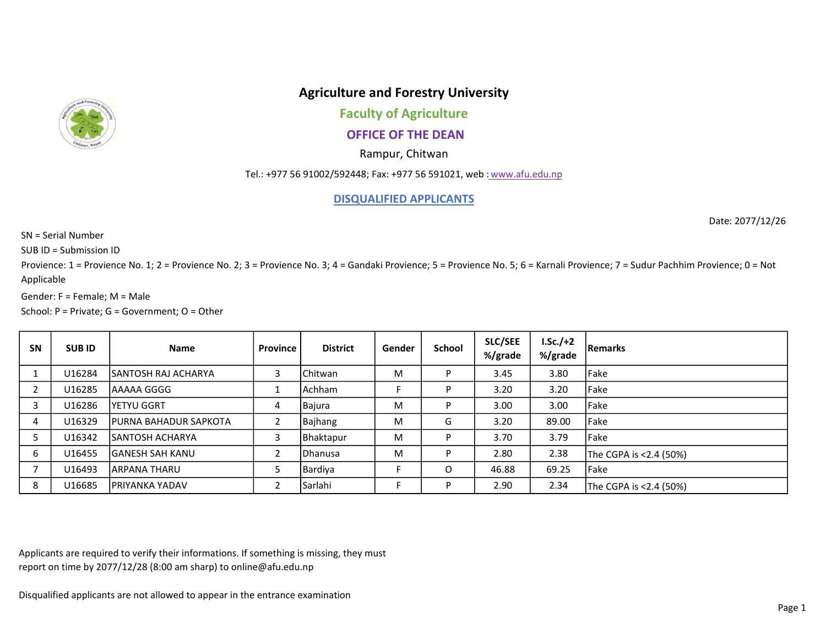

## Agriculture and Forestry University

Faculty of Agriculture

## OFFICE OF THE DEAN

Rampur, Chitwan

Tel.: +977 56 91002/592448; Fax: +977 56 591021, web : www.afu.edu.np

DISQUALIFIED APPLICANTS

Date: 2077/12/26

SN = Serial Number

SUB ID = Submission ID

Provience: 1 = Provience No. 1; 2 = Provience No. 2; 3 = Provience No. 3; 4 = Gandaki Provience; 5 = Provience No. 5; 6 = Karnali Provience; 7 = Sudur Pachhim Provience; 0 = Not Applicable

Gender: F = Female; M = Male

School: P = Private; G = Government; O = Other

| <b>SN</b> | <b>SUBID</b> | <b>Name</b>                   | Province | <b>District</b> | Gender | School | <b>SLC/SEE</b><br>%/grade | $LSc./+2$<br>%/grade | <b>Remarks</b>         |
|-----------|--------------|-------------------------------|----------|-----------------|--------|--------|---------------------------|----------------------|------------------------|
|           | U16284       | ISANTOSH RAJ ACHARYA          |          | l Chitwan       | м      | D      | 3.45                      | 3.80                 | Fake                   |
|           | U16285       | lAAAAA GGGG                   |          | l Achham        |        | D      | 3.20                      | 3.20                 | Fake                   |
| 3         | U16286       | lyetyu GGRT                   | 4        | Bajura          | м      | D      | 3.00                      | 3.00                 | Fake                   |
| 4         | U16329       | <b>IPURNA BAHADUR SAPKOTA</b> |          | Bajhang         | M      | G      | 3.20                      | 89.00                | Fake                   |
|           | U16342       | <b>ISANTOSH ACHARYA</b>       | 3        | Bhaktapur       | М      |        | 3.70                      | 3.79                 | Fake                   |
| 6         | U16455       | <b>IGANESH SAH KANU</b>       |          | <b>IDhanusa</b> | M      | D      | 2.80                      | 2.38                 | The CGPA is <2.4 (50%) |
|           | U16493       | <b>JARPANA THARU</b>          |          | Bardiya         |        | O      | 46.88                     | 69.25                | Fake                   |
| 8         | U16685       | <b>IPRIYANKA YADAV</b>        |          | Sarlahi         |        | P      | 2.90                      | 2.34                 | The CGPA is <2.4 (50%) |

Applicants are required to verify their informations. If something is missing, they must report on time by 2077/12/28 (8:00 am sharp) to online@afu.edu.np

Disqualified applicants are not allowed to appear in the entrance examination